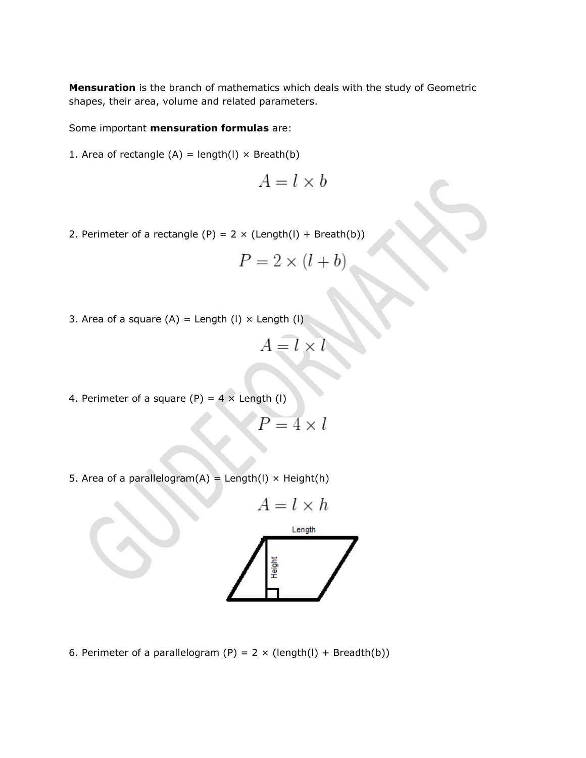**Mensuration** is the branch of mathematics which deals with the study of Geometric shapes, their area, volume and related parameters.

Some important **mensuration formulas** are:

1. Area of rectangle  $(A)$  = length $(I) \times$  Breath $(b)$ 

$$
A = l \times b
$$

2. Perimeter of a rectangle (P) =  $2 \times (Length(I) + Break(b))$ 

$$
P = 2 \times (l + b)
$$

3. Area of a square  $(A)$  = Length  $(I)$  × Length  $(I)$ 

$$
A = l \times l
$$

4. Perimeter of a square (P) =  $4 \times$  Length (I)

$$
P=4\times l
$$

5. Area of a parallelogram $(A)$  = Length $(I)$  × Height $(h)$ 

$$
A = l \times h
$$
Length

6. Perimeter of a parallelogram (P) =  $2 \times (length(I) + Breadth(b))$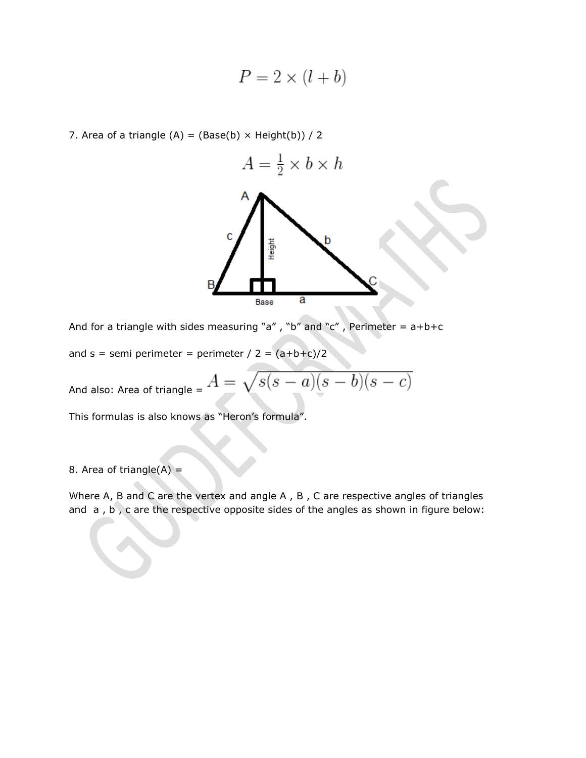$$
P = 2 \times (l + b)
$$

7. Area of a triangle  $(A) = (Base(b) \times Height(b)) / 2$ 



And for a triangle with sides measuring "a", "b" and "c", Perimeter =  $a+b+c$ 

and s = semi perimeter = perimeter /  $2 = (a+b+c)/2$ 

 $\sqrt{s(s-a)(s-b)(s-c)}$ And also: Area of triangle =  $A = \sqrt{a^2 - b^2}$ 

This formulas is also knows as "Heron's formula".

8. Area of triangle $(A)$  =

Where A, B and C are the vertex and angle A, B, C are respective angles of triangles and a , b , c are the respective opposite sides of the angles as shown in figure below: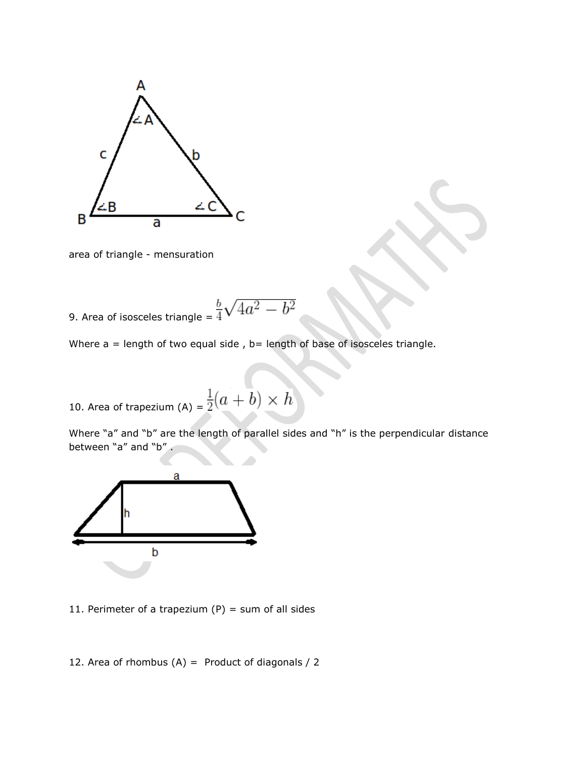

area of triangle - mensuration

9. Area of isosceles triangle = 
$$
\frac{b}{4}\sqrt{4a^2 - b^2}
$$

Where  $a =$  length of two equal side,  $b =$  length of base of isosceles triangle.

10. Area of trapezium (A) =  $\frac{1}{2}(a + b) \times h$ 

Where "a" and "b" are the length of parallel sides and "h" is the perpendicular distance between "a" and "b".



11. Perimeter of a trapezium  $(P)$  = sum of all sides

12. Area of rhombus  $(A)$  = Product of diagonals / 2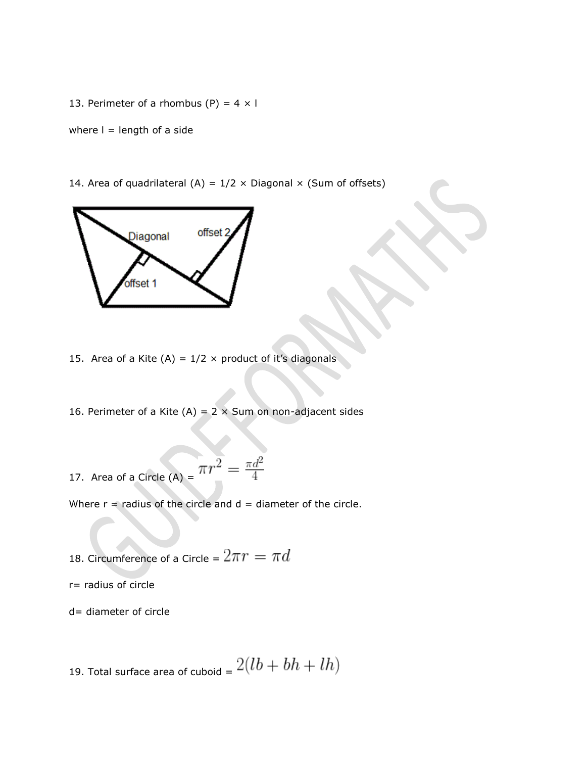13. Perimeter of a rhombus (P) =  $4 \times 1$ 

where  $I =$  length of a side

14. Area of quadrilateral (A) =  $1/2 \times$  Diagonal  $\times$  (Sum of offsets)



15. Area of a Kite (A) =  $1/2 \times$  product of it's diagonals

16. Perimeter of a Kite (A) =  $2 \times$  Sum on non-adjacent sides

17. Area of a Circle (A) = 
$$
\pi r^2 = \frac{\pi d^2}{4}
$$

Where  $r =$  radius of the circle and  $d =$  diameter of the circle.

18. Circumference of a Circle =  $2\pi r = \pi d$ 

r= radius of circle

d= diameter of circle

19. Total surface area of cuboid =  $2(lb + bh + lh)$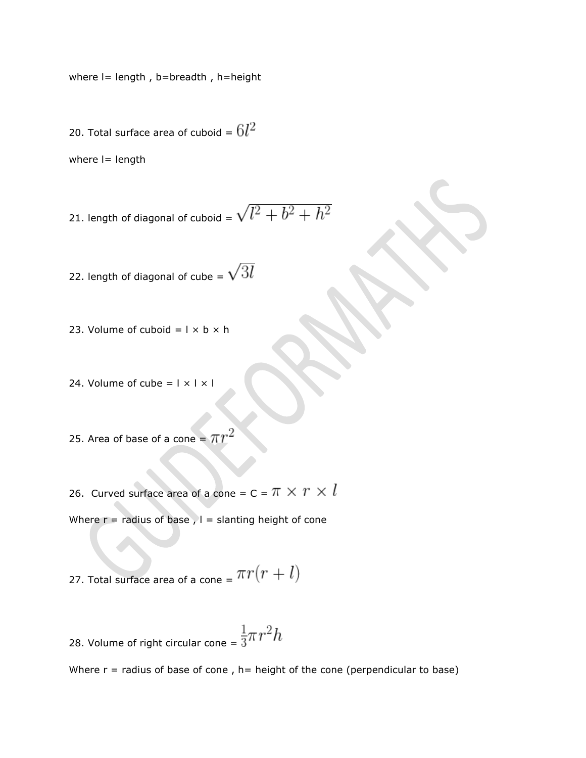where  $l =$  length, b=breadth, h=height

20. Total surface area of cuboid =  $6l^2$ 

where  $I =$  length

21. length of diagonal of cuboid = 
$$
\sqrt{l^2 + b^2 + h^2}
$$

22. length of diagonal of cube =  $\sqrt{3l}$ 

- 23. Volume of cuboid  $=$   $1 \times b \times h$
- 24. Volume of cube =  $|x| \times$  |
- 25. Area of base of a cone =  $\pi r$

26. Curved surface area of a cone = C =  $\pi \times r \times l$ 

Where  $r =$  radius of base ,  $l =$  slanting height of cone

27. Total surface area of a cone =  $\pi r(r + l)$ 

28. Volume of right circular cone =  $\frac{1}{3}\pi r^2 h$ 

Where  $r =$  radius of base of cone, h= height of the cone (perpendicular to base)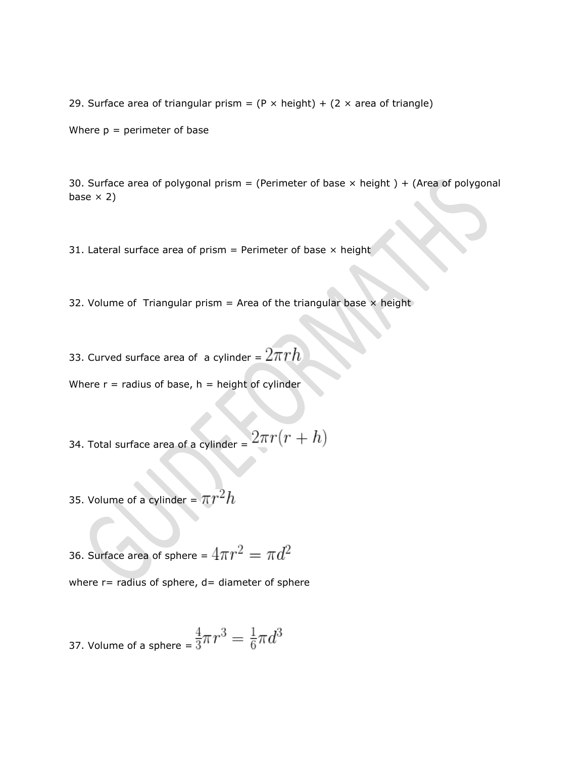29. Surface area of triangular prism =  $(P \times height) + (2 \times area)$  of triangle)

Where  $p =$  perimeter of base

30. Surface area of polygonal prism = (Perimeter of base  $\times$  height) + (Area of polygonal base  $\times$  2)

31. Lateral surface area of prism = Perimeter of base  $\times$  height

32. Volume of Triangular prism = Area of the triangular base  $\times$  height

33. Curved surface area of a cylinder =  $2\pi rh$ 

Where  $r =$  radius of base,  $h =$  height of cylinder

 $2\pi r(r+h)$ 34. Total surface area of a cylinder =

35. Volume of a cylinder =  $\pi r^2 h$ 

36. Surface area of sphere =  $4\pi r^2 = \pi d^2$ 

where  $r=$  radius of sphere,  $d=$  diameter of sphere

37. Volume of a sphere = 
$$
\frac{4}{3}\pi r^3 = \frac{1}{6}\pi d^3
$$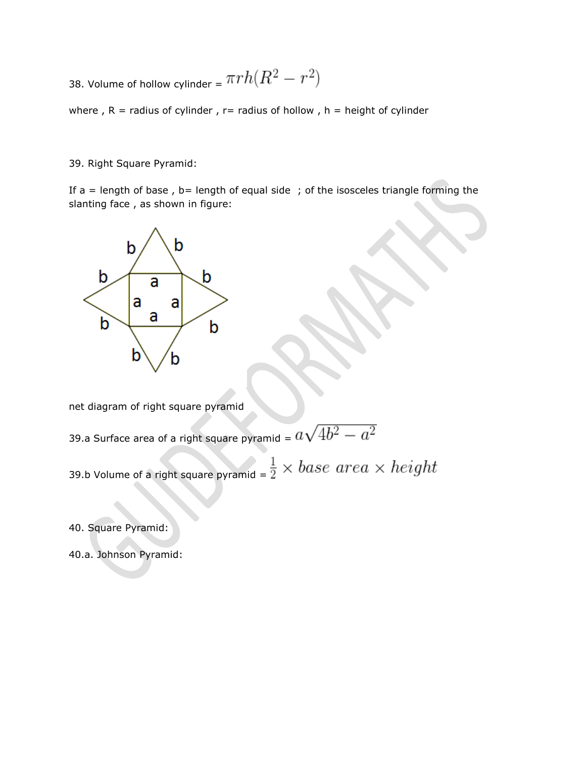38. Volume of hollow cylinder =  $\pi r h (R^2 - r^2)$ 

where,  $R =$  radius of cylinder,  $r =$  radius of hollow,  $h =$  height of cylinder

39. Right Square Pyramid:

If  $a =$  length of base, b= length of equal side; of the isosceles triangle forming the slanting face , as shown in figure:



net diagram of right square pyramid

39.a Surface area of a right square pyramid =  $a\sqrt{4b^2-a^2}$ 

39.b Volume of a right square pyramid =  $\frac{1}{2} \times base$   $area \times height$ 

40. Square Pyramid:

40.a. Johnson Pyramid: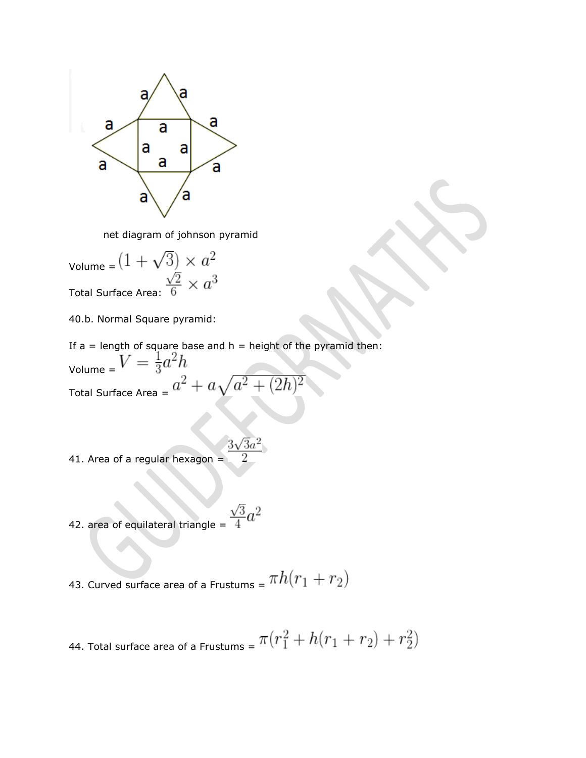

net diagram of johnson pyramid

Volume =  $(1 + \sqrt{3}) \times a^2$ Total Surface Area:  $\frac{\sqrt{2}}{6} \times a^3$ 

40.b. Normal Square pyramid:

If  $a =$  length of square base and  $h =$  height of the pyramid then: Volume =  $V = \frac{1}{3}a^2h$ Total Surface Area =  $a^2 + a\sqrt{a^2 + (2h)}$ 

 $3\sqrt{3}a^2$ 41. Area of a regular hexagon  $=$ 

42. area of equilateral triangle =  $\frac{\sqrt{3}}{4}a^2$ 

43. Curved surface area of a Frustums =  $\pi h(r_1+r_2)$ 

44. Total surface area of a Frustums = 
$$
\pi(r_1^2 + h(r_1 + r_2) + r_2^2)
$$